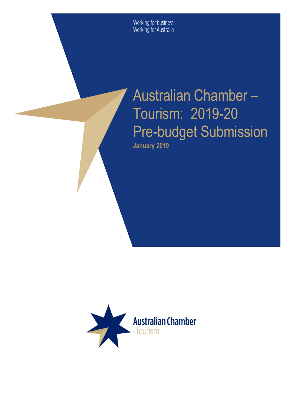Working for business.<br>Working for Australia

# Australian Chamber – Tourism: 2019-20 Pre-budget Submission **January 2019**

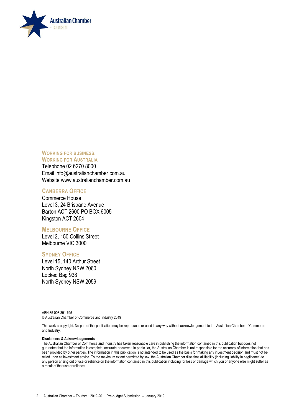

**WORKING FOR BUSINESS. WORKING FOR AUSTRALIA** 

Telephone 02 6270 8000 Email [info@australianchamber.com.au](mailto:info@australianchamber.com.au) Website [www.australianchamber.com.au](http://www.australianchamber.com.au/) 

#### **CANBERRA OFFICE**

Commerce House Level 3, 24 Brisbane Avenue Barton ACT 2600 PO BOX 6005 Kingston ACT 2604

#### **MELBOURNE OFFICE**

Level 2, 150 Collins Street Melbourne VIC 3000

#### **SYDNEY OFFICE**

Level 15, 140 Arthur Street North Sydney NSW 2060 Locked Bag 938 North Sydney NSW 2059

ABN 85 008 391 795 © Australian Chamber of Commerce and Industry 2019

This work is copyright. No part of this publication may be reproduced or used in any way without acknowledgement to the Australian Chamber of Commerce and Industry.

#### **Disclaimers & Acknowledgements**

The Australian Chamber of Commerce and Industry has taken reasonable care in publishing the information contained in this publication but does not guarantee that the information is complete, accurate or current. In particular, the Australian Chamber is not responsible for the accuracy of information that has been provided by other parties. The information in this publication is not intended to be used as the basis for making any investment decision and must not be relied upon as investment advice. To the maximum extent permitted by law, the Australian Chamber disclaims all liability (including liability in negligence) to any person arising out of use or reliance on the information contained in this publication including for loss or damage which you or anyone else might suffer as a result of that use or reliance.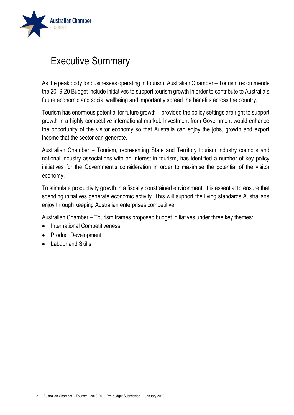

## Executive Summary

As the peak body for businesses operating in tourism, Australian Chamber – Tourism recommends the 2019-20 Budget include initiatives to support tourism growth in order to contribute to Australia's future economic and social wellbeing and importantly spread the benefits across the country.

Tourism has enormous potential for future growth – provided the policy settings are right to support growth in a highly competitive international market. Investment from Government would enhance the opportunity of the visitor economy so that Australia can enjoy the jobs, growth and export income that the sector can generate.

Australian Chamber – Tourism, representing State and Territory tourism industry councils and national industry associations with an interest in tourism, has identified a number of key policy initiatives for the Government's consideration in order to maximise the potential of the visitor economy.

To stimulate productivity growth in a fiscally constrained environment, it is essential to ensure that spending initiatives generate economic activity. This will support the living standards Australians enjoy through keeping Australian enterprises competitive.

Australian Chamber – Tourism frames proposed budget initiatives under three key themes:

- International Competitiveness
- Product Development
- Labour and Skills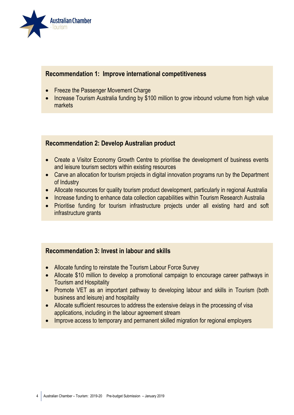

#### **Recommendation 1: Improve international competitiveness**

- Freeze the Passenger Movement Charge
- Increase Tourism Australia funding by \$100 million to grow inbound volume from high value markets

#### **Recommendation 2: Develop Australian product**

- Create a Visitor Economy Growth Centre to prioritise the development of business events and leisure tourism sectors within existing resources
- Carve an allocation for tourism projects in digital innovation programs run by the Department of Industry
- Allocate resources for quality tourism product development, particularly in regional Australia
- Increase funding to enhance data collection capabilities within Tourism Research Australia
- Prioritise funding for tourism infrastructure projects under all existing hard and soft infrastructure grants

#### **Recommendation 3: Invest in labour and skills**

- Allocate funding to reinstate the Tourism Labour Force Survey
- Allocate \$10 million to develop a promotional campaign to encourage career pathways in Tourism and Hospitality
- Promote VET as an important pathway to developing labour and skills in Tourism (both business and leisure) and hospitality
- Allocate sufficient resources to address the extensive delays in the processing of visa applications, including in the labour agreement stream
- Improve access to temporary and permanent skilled migration for regional employers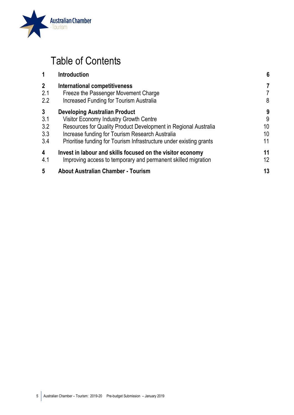

## Table of Contents

| 6                                                                                                                                                                                                                                                                                                                                                                                                                                                                                                                                                                                  |
|------------------------------------------------------------------------------------------------------------------------------------------------------------------------------------------------------------------------------------------------------------------------------------------------------------------------------------------------------------------------------------------------------------------------------------------------------------------------------------------------------------------------------------------------------------------------------------|
| 7<br>7                                                                                                                                                                                                                                                                                                                                                                                                                                                                                                                                                                             |
| 8                                                                                                                                                                                                                                                                                                                                                                                                                                                                                                                                                                                  |
| 9                                                                                                                                                                                                                                                                                                                                                                                                                                                                                                                                                                                  |
| 9                                                                                                                                                                                                                                                                                                                                                                                                                                                                                                                                                                                  |
| 10                                                                                                                                                                                                                                                                                                                                                                                                                                                                                                                                                                                 |
| 10                                                                                                                                                                                                                                                                                                                                                                                                                                                                                                                                                                                 |
| 11                                                                                                                                                                                                                                                                                                                                                                                                                                                                                                                                                                                 |
| 11                                                                                                                                                                                                                                                                                                                                                                                                                                                                                                                                                                                 |
| 12                                                                                                                                                                                                                                                                                                                                                                                                                                                                                                                                                                                 |
| 13                                                                                                                                                                                                                                                                                                                                                                                                                                                                                                                                                                                 |
| International competitiveness<br>Freeze the Passenger Movement Charge<br><b>Increased Funding for Tourism Australia</b><br><b>Developing Australian Product</b><br>Visitor Economy Industry Growth Centre<br>Resources for Quality Product Development in Regional Australia<br>Increase funding for Tourism Research Australia<br>Prioritise funding for Tourism Infrastructure under existing grants<br>Invest in labour and skills focused on the visitor economy<br>Improving access to temporary and permanent skilled migration<br><b>About Australian Chamber - Tourism</b> |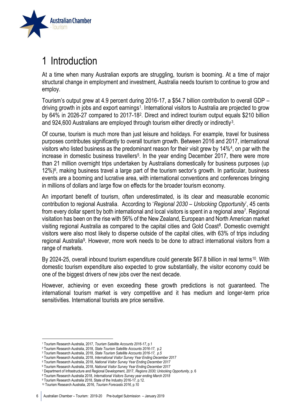

## <span id="page-5-0"></span>1 Introduction

At a time when many Australian exports are struggling, tourism is booming. At a time of major structural change in employment and investment, Australia needs tourism to continue to grow and employ.

Tourism's output grew at 4.9 percent during 2016-17, a \$54.7 billion contribution to overall GDP – driving growth in jobs and export earnings<sup>1</sup>. International visitors to Australia are projected to grow by 64% in 2026-27 compared to 2017-18<sup>2</sup>. Direct and indirect tourism output equals \$210 billion and 924,600 Australians are employed through tourism either directly or indirectly<sup>3</sup>.

Of course, tourism is much more than just leisure and holidays. For example, travel for business purposes contributes significantly to overall tourism growth. Between 2016 and 2017, international visitors who listed business as the predominant reason for their visit grew by 14%<sup>4</sup> , on par with the increase in domestic business travellers<sup>5</sup>. In the year ending December 2017, there were more than 21 million overnight trips undertaken by Australians domestically for business purposes (up 12%)<sup>6</sup> , making business travel a large part of the tourism sector's growth. In particular, business events are a booming and lucrative area, with international conventions and conferences bringing in millions of dollars and large flow on effects for the broader tourism economy.

An important benefit of tourism, often underestimated, is its clear and measurable economic contribution to regional Australia. According to '*Regional 2030 – Unlocking Opportunity*', 45 cents from every dollar spent by both international and local visitors is spent in a regional area<sup>7</sup>. Regional visitation has been on the rise with 56% of the New Zealand, European and North American market visiting regional Australia as compared to the capital cities and Gold Coast<sup>8</sup>. Domestic overnight visitors were also most likely to disperse outside of the capital cities, with 63% of trips including regional Australia<sup>9</sup>. However, more work needs to be done to attract international visitors from a range of markets.

By 2024-25, overall inbound tourism expenditure could generate \$67.8 billion in real terms<sup>10</sup>. With domestic tourism expenditure also expected to grow substantially, the visitor economy could be one of the biggest drivers of new jobs over the next decade.

However, achieving or even exceeding these growth predictions is not guaranteed. The international tourism market is very competitive and it has medium and longer-term price sensitivities. International tourists are price sensitive.

 $\overline{\phantom{a}}$ 

<sup>1</sup> Tourism Research Australia, 2017, *Tourism Satellite Accounts 2016-17*, p.1

<sup>2</sup> Tourism Research Australia, 2018, *State Tourism Satellite Accounts 2016-17*, p.2

<sup>3</sup> Tourism Research Australia, 2018, *State Tourism Satellite Accounts 2016-17, p.5*

<sup>4</sup> Tourism Research Australia, 2018, *International Visitor Survey Year Ending December 2017*

<sup>5</sup> Tourism Research Australia, 2018, *National Visitor Survey Year Ending December 2017*

<sup>6</sup> Tourism Research Australia, 2018, *National Visitor Survey Year Ending December 2017*

<sup>7</sup> Department of Infrastructure and Regional Development, 2017, *Regions 2030; Unlocking Opportunity,* p. 6

<sup>8</sup> Tourism Research Australia 2018, *International Visitors Survey year ending March 2018*

<sup>9</sup> Tourism Research Australia 2018, State of the Industry 2016-17, p.12.

<sup>10</sup> Tourism Research Australia, 2016, *Tourism Forecasts 2016,* p.10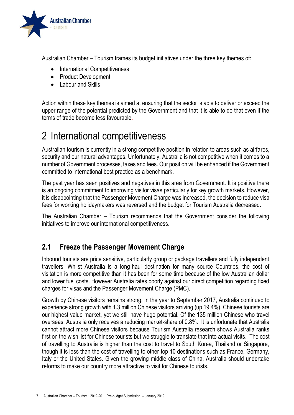

Australian Chamber – Tourism frames its budget initiatives under the three key themes of:

- International Competitiveness
- Product Development
- Labour and Skills

Action within these key themes is aimed at ensuring that the sector is able to deliver or exceed the upper range of the potential predicted by the Government and that it is able to do that even if the terms of trade become less favourable.

## <span id="page-6-0"></span>2 International competitiveness

Australian tourism is currently in a strong competitive position in relation to areas such as airfares, security and our natural advantages. Unfortunately, Australia is not competitive when it comes to a number of Government processes, taxes and fees. Our position will be enhanced if the Government committed to international best practice as a benchmark.

The past year has seen positives and negatives in this area from Government. It is positive there is an ongoing commitment to improving visitor visas particularly for key growth markets. However, it is disappointing that the Passenger Movement Charge was increased, the decision to reduce visa fees for working holidaymakers was reversed and the budget for Tourism Australia decreased.

The Australian Chamber – Tourism recommends that the Government consider the following initiatives to improve our international competitiveness.

### <span id="page-6-1"></span>**2.1 Freeze the Passenger Movement Charge**

Inbound tourists are price sensitive, particularly group or package travellers and fully independent travellers. Whilst Australia is a long-haul destination for many source Countries, the cost of visitation is more competitive than it has been for some time because of the low Australian dollar and lower fuel costs. However Australia rates poorly against our direct competition regarding fixed charges for visas and the Passenger Movement Charge (PMC).

Growth by Chinese visitors remains strong. In the year to September 2017, Australia continued to experience strong growth with 1.3 million Chinese visitors arriving (up 19.4%). Chinese tourists are our highest value market, yet we still have huge potential. Of the 135 million Chinese who travel overseas, Australia only receives a reducing market-share of 0.8%. It is unfortunate that Australia cannot attract more Chinese visitors because Tourism Australia research shows Australia ranks first on the wish list for Chinese tourists but we struggle to translate that into actual visits. The cost of travelling to Australia is higher than the cost to travel to South Korea, Thailand or Singapore, though it is less than the cost of travelling to other top 10 destinations such as France, Germany, Italy or the United States. Given the growing middle class of China, Australia should undertake reforms to make our country more attractive to visit for Chinese tourists.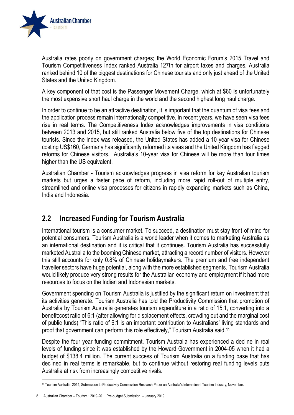

Australia rates poorly on government charges; the World Economic Forum's 2015 Travel and Tourism Competitiveness Index ranked Australia 127th for airport taxes and charges. Australia ranked behind 10 of the biggest destinations for Chinese tourists and only just ahead of the United States and the United Kingdom.

A key component of that cost is the Passenger Movement Charge, which at \$60 is unfortunately the most expensive short haul charge in the world and the second highest long haul charge.

In order to continue to be an attractive destination, it is important that the quantum of visa fees and the application process remain internationally competitive. In recent years, we have seen visa fees rise in real terms. The Competitiveness Index acknowledges improvements in visa conditions between 2013 and 2015, but still ranked Australia below five of the top destinations for Chinese tourists. Since the index was released, the United States has added a 10-year visa for Chinese costing US\$160, Germany has significantly reformed its visas and the United Kingdom has flagged reforms for Chinese visitors. Australia's 10-year visa for Chinese will be more than four times higher than the US equivalent.

Australian Chamber - Tourism acknowledges progress in visa reform for key Australian tourism markets but urges a faster pace of reform, including more rapid roll-out of multiple entry, streamlined and online visa processes for citizens in rapidly expanding markets such as China, India and Indonesia.

### <span id="page-7-0"></span>**2.2 Increased Funding for Tourism Australia**

International tourism is a consumer market. To succeed, a destination must stay front-of-mind for potential consumers. Tourism Australia is a world leader when it comes to marketing Australia as an international destination and it is critical that it continues. Tourism Australia has successfully marketed Australia to the booming Chinese market, attracting a record number of visitors. However this still accounts for only 0.8% of Chinese holidaymakers. The premium and free independent traveller sectors have huge potential, along with the more established segments. Tourism Australia would likely produce very strong results for the Australian economy and employment if it had more resources to focus on the Indian and Indonesian markets.

Government spending on Tourism Australia is justified by the significant return on investment that its activities generate. Tourism Australia has told the Productivity Commission that promotion of Australia by Tourism Australia generates tourism expenditure in a ratio of 15:1, converting into a benefit:cost ratio of 6:1 (after allowing for displacement effects, crowding out and the marginal cost of public funds)."This ratio of 6:1 is an important contribution to Australians' living standards and proof that government can perform this role effectively," Tourism Australia said.<sup>11</sup>

Despite the four year funding commitment, Tourism Australia has experienced a decline in real levels of funding since it was established by the Howard Government in 2004-05 when it had a budget of \$138.4 million. The current success of Tourism Australia on a funding base that has declined in real terms is remarkable, but to continue without restoring real funding levels puts Australia at risk from increasingly competitive rivals.

1

<sup>11</sup> Tourism Australia, 2014, Submission to Productivity Commission Research Paper on Australia's International Tourism Industry, November.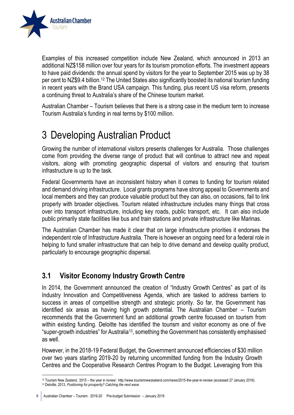

Examples of this increased competition include New Zealand, which announced in 2013 an additional NZ\$158 million over four years for its tourism promotion efforts. The investment appears to have paid dividends: the annual spend by visitors for the year to September 2015 was up by 38 per cent to NZ\$9.4 billion.<sup>12</sup> The United States also significantly boosted its national tourism funding in recent years with the Brand USA campaign. This funding, plus recent US visa reform, presents a continuing threat to Australia's share of the Chinese tourism market.

Australian Chamber – Tourism believes that there is a strong case in the medium term to increase Tourism Australia's funding in real terms by \$100 million.

## <span id="page-8-0"></span>3 Developing Australian Product

Growing the number of international visitors presents challenges for Australia. Those challenges come from providing the diverse range of product that will continue to attract new and repeat visitors, along with promoting geographic dispersal of visitors and ensuring that tourism infrastructure is up to the task.

Federal Governments have an inconsistent history when it comes to funding for tourism related and demand driving infrastructure. Local grants programs have strong appeal to Governments and local members and they can produce valuable product but they can also, on occasions, fail to link properly with broader objectives. Tourism related infrastructure includes many things that cross over into transport infrastructure, including key roads, public transport, etc. It can also include public primarily state facilities like bus and train stations and private infrastructure like Marinas.

The Australian Chamber has made it clear that on large infrastructure priorities it endorses the independent role of Infrastructure Australia. There is however an ongoing need for a federal role in helping to fund smaller infrastructure that can help to drive demand and develop quality product, particularly to encourage geographic dispersal.

### <span id="page-8-1"></span>**3.1 Visitor Economy Industry Growth Centre**

In 2014, the Government announced the creation of "Industry Growth Centres" as part of its Industry Innovation and Competitiveness Agenda, which are tasked to address barriers to success in areas of competitive strength and strategic priority. So far, the Government has identified six areas as having high growth potential. The Australian Chamber – Tourism recommends that the Government fund an additional growth centre focussed on tourism from within existing funding. Deloitte has identified the tourism and visitor economy as one of five "super-growth industries" for Australia<sup>13</sup>, something the Government has consistently emphasised as well.

However, in the 2018-19 Federal Budget, the Government announced efficiencies of \$30 million over two years starting 2019-20 by returning uncommitted funding from the Industry Growth Centres and the Cooperative Research Centres Program to the Budget. Leveraging from this

 $\overline{\phantom{a}}$ <sup>12</sup> Tourism New Zealand, '2015 – the year in review', http://www.tourismnewzealand.com/news/2015-the-year-in-review (accessed 27 January 2016). <sup>13</sup> Deloitte, 2013, *Positioning for prosperity? Catching the next wave*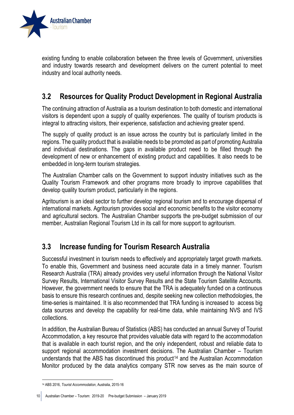

existing funding to enable collaboration between the three levels of Government, universities and industry towards research and development delivers on the current potential to meet industry and local authority needs.

### <span id="page-9-0"></span>**3.2 Resources for Quality Product Development in Regional Australia**

The continuing attraction of Australia as a tourism destination to both domestic and international visitors is dependent upon a supply of quality experiences. The quality of tourism products is integral to attracting visitors, their experience, satisfaction and achieving greater spend.

The supply of quality product is an issue across the country but is particularly limited in the regions. The quality product that is available needs to be promoted as part of promoting Australia and individual destinations. The gaps in available product need to be filled through the development of new or enhancement of existing product and capabilities. It also needs to be embedded in long-term tourism strategies.

The Australian Chamber calls on the Government to support industry initiatives such as the Quality Tourism Framework and other programs more broadly to improve capabilities that develop quality tourism product, particularly in the regions.

Agritourism is an ideal sector to further develop regional tourism and to encourage dispersal of international markets. Agritourism provides social and economic benefits to the visitor economy and agricultural sectors. The Australian Chamber supports the pre-budget submission of our member, Australian Regional Tourism Ltd in its call for more support to agritourism.

### <span id="page-9-1"></span>**3.3 Increase funding for Tourism Research Australia**

Successful investment in tourism needs to effectively and appropriately target growth markets. To enable this, Government and business need accurate data in a timely manner. Tourism Research Australia (TRA) already provides very useful information through the National Visitor Survey Results, International Visitor Survey Results and the State Tourism Satellite Accounts. However, the government needs to ensure that the TRA is adequately funded on a continuous basis to ensure this research continues and, despite seeking new collection methodologies, the time-series is maintained. It is also recommended that TRA funding is increased to access big data sources and develop the capability for real-time data, while maintaining NVS and IVS collections.

In addition, the Australian Bureau of Statistics (ABS) has conducted an annual Survey of Tourist Accommodation, a key resource that provides valuable data with regard to the accommodation that is available in each tourist region, and the only independent, robust and reliable data to support regional accommodation investment decisions. The Australian Chamber – Tourism understands that the ABS has discontinued this product<sup>14</sup> and the Australian Accommodation Monitor produced by the data analytics company STR now serves as the main source of

<sup>1</sup> <sup>14</sup> ABS 2016, *Tourist Accommodation*, Australia, 2015-16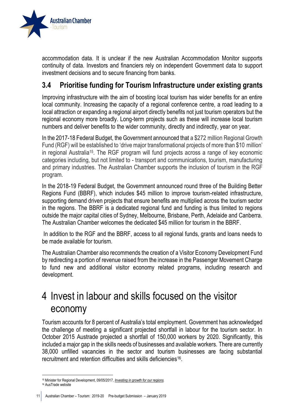

accommodation data. It is unclear if the new Australian Accommodation Monitor supports continuity of data. Investors and financiers rely on independent Government data to support investment decisions and to secure financing from banks.

### <span id="page-10-0"></span>**3.4 Prioritise funding for Tourism Infrastructure under existing grants**

Improving infrastructure with the aim of boosting local tourism has wider benefits for an entire local community. Increasing the capacity of a regional conference centre, a road leading to a local attraction or expanding a regional airport directly benefits not just tourism operators but the regional economy more broadly. Long-term projects such as these will increase local tourism numbers and deliver benefits to the wider community, directly and indirectly, year on year.

In the 2017-18 Federal Budget, the Government announced that a \$272 million Regional Growth Fund (RGF) will be established to 'drive major transformational projects of more than \$10 million' in regional Australia<sup>15</sup>. The RGF program will fund projects across a range of key economic categories including, but not limited to - transport and communications, tourism, manufacturing and primary industries. The Australian Chamber supports the inclusion of tourism in the RGF program.

In the 2018-19 Federal Budget, the Government announced round three of the Building Better Regions Fund (BBRF), which includes \$45 million to improve tourism-related infrastructure, supporting demand driven projects that ensure benefits are multiplied across the tourism sector in the regions. The BBRF is a dedicated regional fund and funding is thus limited to regions outside the major capital cities of Sydney, Melbourne, Brisbane, Perth, Adelaide and Canberra. The Australian Chamber welcomes the dedicated \$45 million for tourism in the BBRF.

In addition to the RGF and the BBRF, access to all regional funds, grants and loans needs to be made available for tourism.

The Australian Chamber also recommends the creation of a Visitor Economy Development Fund by redirecting a portion of revenue raised from the increase in the Passenger Movement Charge to fund new and additional visitor economy related programs, including research and development.

### <span id="page-10-1"></span>4 Invest in labour and skills focused on the visitor economy

Tourism accounts for 8 percent of Australia's total employment. Government has acknowledged the challenge of meeting a significant projected shortfall in labour for the tourism sector. In October 2015 Austrade projected a shortfall of 150,000 workers by 2020. Significantly, this included a major gap in the skills needs of businesses and available workers. There are currently 38,000 unfilled vacancies in the sector and tourism businesses are facing substantial recruitment and retention difficulties and skills deficiencies<sup>16</sup>.

 $\overline{\phantom{a}}$ <sup>15</sup> Minister for Regional Development, 09/05/2017, *Investing [in growth for our regions.](http://minister.infrastructure.gov.au/nash/releases/2017/May/budget-infra_01-2017.aspx)*

<sup>16</sup> AusTrade website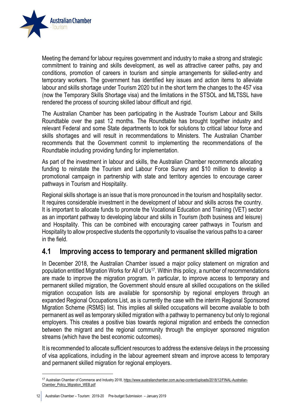

Meeting the demand for labour requires government and industry to make a strong and strategic commitment to training and skills development, as well as attractive career paths, pay and conditions, promotion of careers in tourism and simple arrangements for skilled-entry and temporary workers. The government has identified key issues and action items to alleviate labour and skills shortage under Tourism 2020 but in the short term the changes to the 457 visa (now the Temporary Skills Shortage visa) and the limitations in the STSOL and MLTSSL have rendered the process of sourcing skilled labour difficult and rigid.

The Australian Chamber has been participating in the Austrade Tourism Labour and Skills Roundtable over the past 12 months. The Roundtable has brought together industry and relevant Federal and some State departments to look for solutions to critical labour force and skills shortages and will result in recommendations to Ministers. The Australian Chamber recommends that the Government commit to implementing the recommendations of the Roundtable including providing funding for implementation.

As part of the investment in labour and skills, the Australian Chamber recommends allocating funding to reinstate the Tourism and Labour Force Survey and \$10 million to develop a promotional campaign in partnership with state and territory agencies to encourage career pathways in Tourism and Hospitality.

Regional skills shortage is an issue that is more pronounced in the tourism and hospitality sector. It requires considerable investment in the development of labour and skills across the country. It is important to allocate funds to promote the Vocational Education and Training (VET) sector as an important pathway to developing labour and skills in Tourism (both business and leisure) and Hospitality. This can be combined with encouraging career pathways in Tourism and Hospitality to allow prospective students the opportunity to visualise the various paths to a career in the field.

#### <span id="page-11-0"></span>**4.1 Improving access to temporary and permanent skilled migration**

In December 2018, the Australian Chamber issued a major policy statement on migration and population entitled Migration Works for All of Us<sup>17</sup>. Within this policy, a number of recommendations are made to improve the migration program. In particular, to improve access to temporary and permanent skilled migration, the Government should ensure all skilled occupations on the skilled migration occupation lists are available for sponsorship by regional employers through an expanded Regional Occupations List, as is currently the case with the interim Regional Sponsored Migration Scheme (RSMS) list. This implies all skilled occupations will become available to both permanent as well as temporary skilled migration with a pathway to permanency but only to regional employers. This creates a positive bias towards regional migration and embeds the connection between the migrant and the regional community through the employer sponsored migration streams (which have the best economic outcomes).

It is recommended to allocate sufficient resources to address the extensive delays in the processing of visa applications, including in the labour agreement stream and improve access to temporary and permanent skilled migration for regional employers.

 $\overline{\phantom{a}}$ 

<sup>17</sup> Australian Chamber of Commerce and Industry 2018[, https://www.australianchamber.com.au/wp-content/uploads/2018/12/FINAL-Australian-](https://www.australianchamber.com.au/wp-content/uploads/2018/12/FINAL-Australian-Chamber_Policy_Migration_WEB.pdf)[Chamber\\_Policy\\_Migration\\_WEB.pdf](https://www.australianchamber.com.au/wp-content/uploads/2018/12/FINAL-Australian-Chamber_Policy_Migration_WEB.pdf)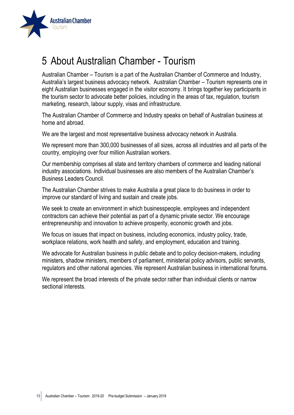

### <span id="page-12-0"></span>5 About Australian Chamber - Tourism

Australian Chamber – Tourism is a part of the Australian Chamber of Commerce and Industry, Australia's largest business advocacy network. Australian Chamber – Tourism represents one in eight Australian businesses engaged in the visitor economy. It brings together key participants in the tourism sector to advocate better policies, including in the areas of tax, regulation, tourism marketing, research, labour supply, visas and infrastructure.

The Australian Chamber of Commerce and Industry speaks on behalf of Australian business at home and abroad.

We are the largest and most representative business advocacy network in Australia.

We represent more than 300,000 businesses of all sizes, across all industries and all parts of the country, employing over four million Australian workers.

Our membership comprises all state and territory chambers of commerce and leading national industry associations. Individual businesses are also members of the Australian Chamber's Business Leaders Council.

The Australian Chamber strives to make Australia a great place to do business in order to improve our standard of living and sustain and create jobs.

We seek to create an environment in which businesspeople, employees and independent contractors can achieve their potential as part of a dynamic private sector. We encourage entrepreneurship and innovation to achieve prosperity, economic growth and jobs.

We focus on issues that impact on business, including economics, industry policy, trade, workplace relations, work health and safety, and employment, education and training.

We advocate for Australian business in public debate and to policy decision-makers, including ministers, shadow ministers, members of parliament, ministerial policy advisors, public servants, regulators and other national agencies. We represent Australian business in international forums.

We represent the broad interests of the private sector rather than individual clients or narrow sectional interests.